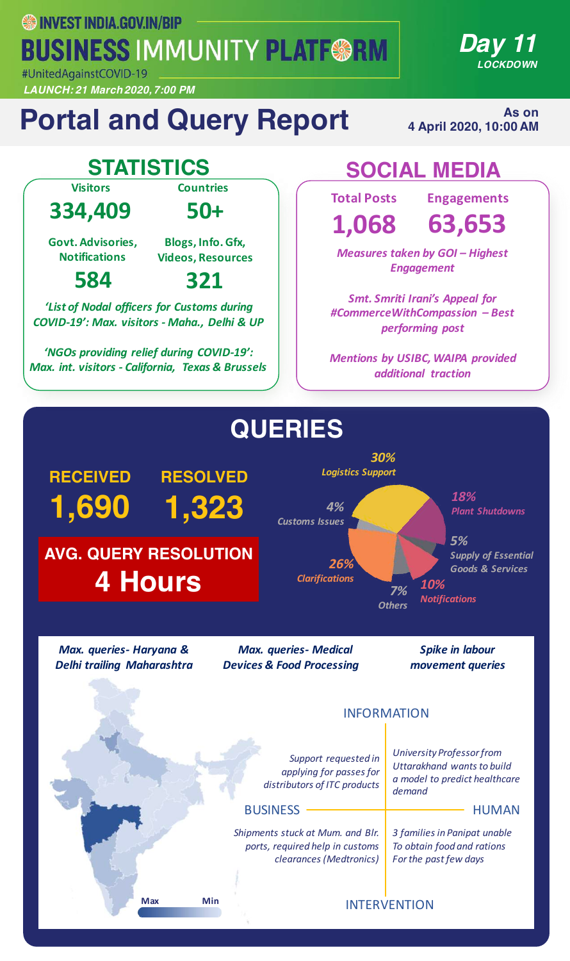**WEST INDIA.GOV.IN/BIP BUSINESS IMMUNITY PLATF@RM** #UnitedAgainstCOVID-19

*LAUNCH: 21 March 2020, 7:00 PM*

### **Portal and Query Report**

**As on 4 April 2020, 10:00 AM** 

*Day 11*

*LOCKDOWN*

**Visitors**

**334,409**

**50+**

**Countries**

**Govt. Advisories, Notifications**

**Blogs, Info. Gfx, Videos, Resources**

**321**

### **584**

**'List of Nodal officers for Customs during** *COVID-19': Max. visitors - Maha., Delhi & UP*

*'NGOs providing relief during COVID-19': Max. int. visitors - California, Texas & Brussels*

### **STATISTICS SOCIAL MEDIA**

**Total Posts**

**1,068**

**Engagements 63,653**

*Measures taken by GOI – Highest Engagement*

*Smt. Smriti Irani's Appeal for #CommerceWithCompassion – Best performing post*

**Mentions by USIBC, WAIPA provided** *additional traction*

### **QUERIES**



*Max. queries- Haryana & Delhi trailing Maharashtra*

*Max. queries- Medical Devices & Food Processing*

*Spike in labour movement queries*

#### INFORMATION

Support requested in *applying for passes for distributors of ITC products*

*University Professor from <u>Uttarakhand</u> wants* to build *a model to predict healthcare demand*

#### BUSINESS HUMAN

*Shipments stuck at Mum. and Blr. ports, required help in customs clearances (Medtronics)*

*3 families in Panipat unable To obtain food and rations* For the past few days

**Max Min**

#### INTERVENTION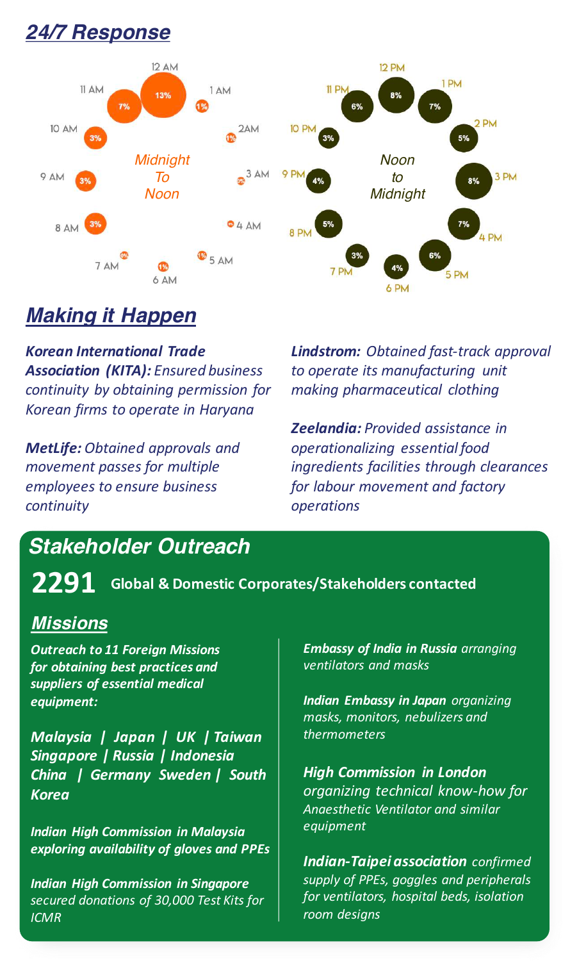### *24/7 Response*



### *Making it Happen*

*Korean International Trade*  Association (KITA): **Ensured** business *continuity by obtaining permission for Korean firms to operate in Haryana*

*MetLife: Obtained approvals and movement passes for multiple employees to ensure business continuity*

*Lindstrom: Obtained fast-track approval* to operate its manufacturing unit *making pharmaceutical clothing*

*Zeelandia: Provided assistance in operationalizing essential food ingredients facilities through clearances for labour movement and factory operations*

### *Stakeholder Outreach*

**2291 Global & Domestic Corporates/Stakeholders contacted**

#### *Missions*

**Outreach to 11 Foreign Missions for obtaining best practices and** suppliers of essential medical *equipment:*

*Malaysia* | Japan | UK | Taiwan *Singapore | Russia | Indonesia China | Germany Sweden | South Korea* 

*Indian High Commission in Malaysia exploring availability of gloves and PPEs*

*Indian High Commission in Singapore secured donations of 30,000 Test Kits for ICMR*

*Embassy of India in Russia arranging ventilators and masks*

**Indian Embassy in Japan** organizing *masks, monitors, nebulizers and thermometers*

*High Commission in London organizing technical know-how for Anaesthetic Ventilator and similar equipment*

**Indian-Taipei association** confirmed supply of PPEs, goggles and peripherals *for* ventilators, hospital beds, isolation *room designs*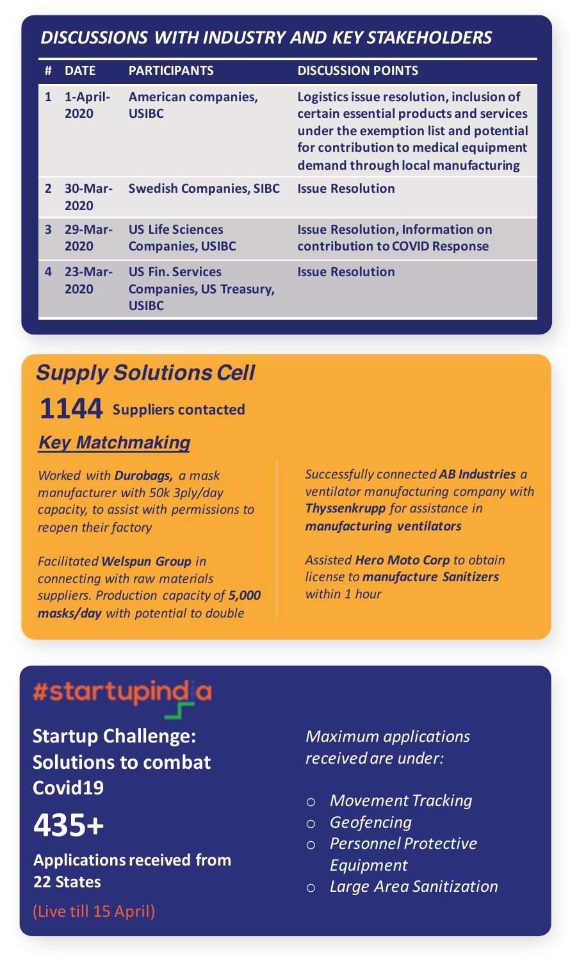### *DISCUSSIONS WITH INDUSTRY AND KEY STAKEHOLDERS*

| #                       | <b>DATE</b>        | <b>PARTICIPANTS</b>                                                       | <b>DISCUSSION POINTS</b>                                                                                                                                                                                     |
|-------------------------|--------------------|---------------------------------------------------------------------------|--------------------------------------------------------------------------------------------------------------------------------------------------------------------------------------------------------------|
| $\mathbf{1}$            | 1-April-<br>2020   | <b>American companies,</b><br><b>USIBC</b>                                | Logistics issue resolution, inclusion of<br>certain essential products and services<br>under the exemption list and potential<br>for contribution to medical equipment<br>demand through local manufacturing |
| $\overline{2}$          | $30$ -Mar-<br>2020 | <b>Swedish Companies, SIBC</b>                                            | <b>Issue Resolution</b>                                                                                                                                                                                      |
| $\overline{\mathbf{3}}$ | $29-Mar-$<br>2020  | <b>US Life Sciences</b><br><b>Companies, USIBC</b>                        | <b>Issue Resolution, Information on</b><br>contribution to COVID Response                                                                                                                                    |
| 4                       | $23-Mar-$<br>2020  | <b>US Fin. Services</b><br><b>Companies, US Treasury,</b><br><b>USIBC</b> | <b>Issue Resolution</b>                                                                                                                                                                                      |

### *Supply Solutions Cell*

**1144** Suppliers contacted

#### *Key Matchmaking*

*Worked with Durobags, a mask manufacturer with 50k 3ply/day capacity, to assist with permissions to reopen their factory*

*Facilitated* Welspun Group in *connecting with raw materials suppliers. Production capacity of 5,000 masks/day* with potential to double

*Successfully connected AB Industries a ventilator* manufacturing company with **Thyssenkrupp** for assistance in *manufacturing ventilators*

**Assisted Hero Moto Corp** to obtain **license to manufacture Sanitizers** *within 1 hour* 

### #startupindia

**Startup Challenge: Solutions to combat Covid19**

### **435+**

**Applications received from 22 States**

(Live till 15 April)

*Maximum applications received are under:*

- o *Movement Tracking*
- o *Geofencing*
- o *Personnel Protective Equipment*
- o *Large Area Sanitization*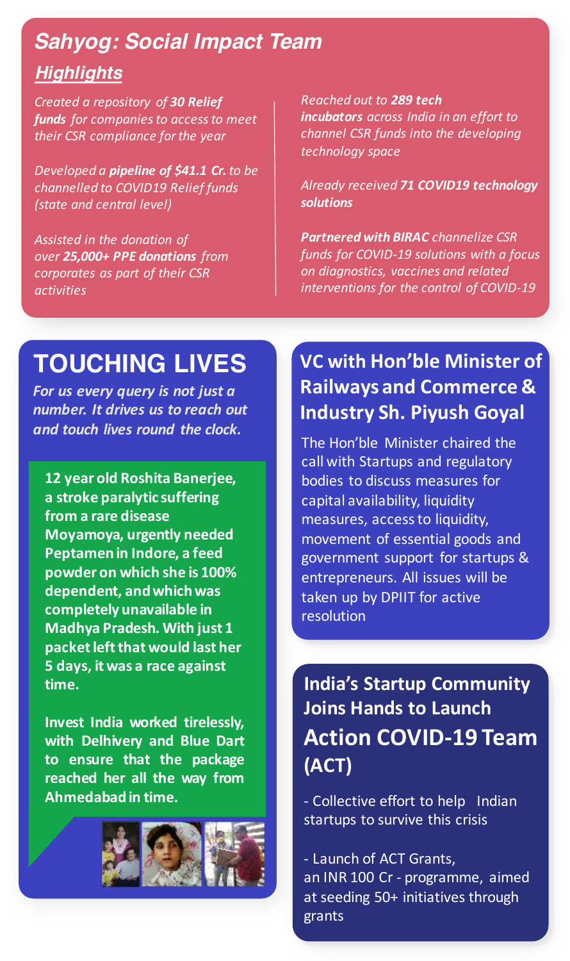### *Highlights Sahyog: Social Impact Team*

*Created a repository of 30 Relief funds* for companies to access to meet *their CSR compliance for the year*

*Developed* a **pipeline** of \$41.1 Cr. to be **channelled** to **COVID19** Relief funds *(state and central level)*

Assisted in the donation of *over 25,000+ PPE donations from*  corporates as part of their CSR *activities*

*Reached out to 289 tech incubators across India in an effort to channel CSR funds into the developing technology space*

*Already received 71 COVID19 technology solutions*

**Partnered with BIRAC** channelize CSR funds for COVID-19 solutions with a focus *on diagnostics, vaccines and related*  interventions for the control of COVID-19

### **TOUCHING LIVES**

For us every query is not just a *number. It drives us to reach out and touch lives round the clock.*

**12 year old Roshita Banerjee, a** stroke paralytic suffering **from a rare disease Moyamoya, urgently needed Peptamen in Indore, a feed powder on which she is 100%**  dependent, and which was completely unavailable in **Madhya Pradesh. With just 1 packet left that would last her 5 days, it was a race against time.**

**Invest India worked tirelessly, with Delhivery and Blue Dart to ensure that the package reached her all the way from Ahmedabadin time.**



### **VC** with Hon'ble Minister of **Railways and Commerce & Industry Sh. Piyush Goyal**

The Hon'ble Minister chaired the call with Startups and regulatory bodies to discuss measures for capital availability, liquidity measures, access to liquidity, movement of essential goods and government support for startups & entrepreneurs. All issues will be taken up by DPIIT for active resolution

**India's Startup Community Joins Hands to Launch Action COVID-19 Team (ACT)**

- Collective effort to help Indian startups to survive this crisis

- Launch of ACT Grants, an INR 100 Cr - programme, aimed at seeding 50+ initiatives through grants